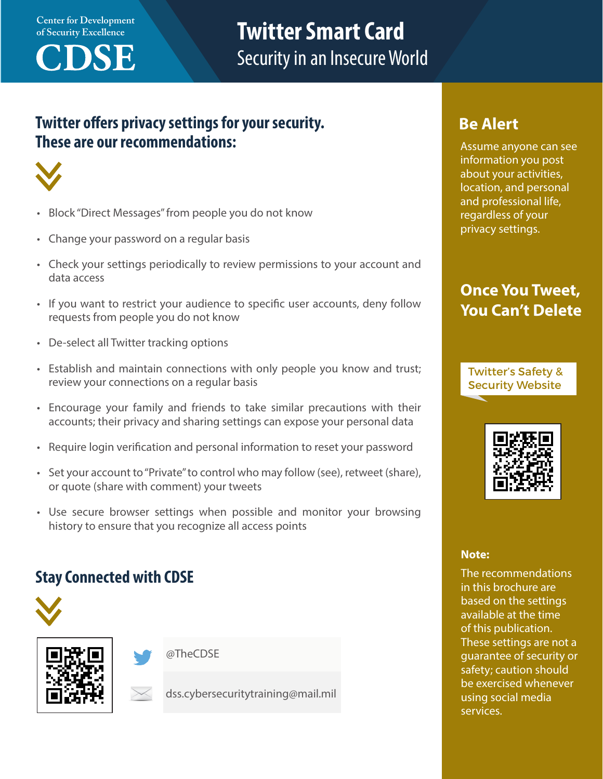**Center for Development** 



# **of Security Excellence Twitter Smart Card**<br> **CONSECTION** Security in an Insecure World

### **Twitter offers privacy settings for your security. These are our recommendations:**



- Block "Direct Messages" from people you do not know
- Change your password on a regular basis
- Check your settings periodically to review permissions to your account and data access
- If you want to restrict your audience to specific user accounts, deny follow requests from people you do not know
- De-select all Twitter tracking options
- Establish and maintain connections with only people you know and trust; review your connections on a regular basis
- Encourage your family and friends to take similar precautions with their accounts; their privacy and sharing settings can expose your personal data
- Require login verification and personal information to reset your password
- Set your account to "Private" to control who may follow (see), retweet (share), or quote (share with comment) your tweets
- Use secure browser settings when possible and monitor your browsing history to ensure that you recognize all access points

### **Stay Connected with CDSE**







dss.cybersecuritytraining@mail.mil

#### **Be Alert**

Assume anyone can see information you post about your activities, location, and personal and professional life, regardless of your privacy settings.

### **Once You Tweet, You Can't Delete**

Twitter's Safety & Security Website



#### **Note:**

The recommendations in this brochure are based on the settings available at the time of this publication. These settings are not a guarantee of security or safety; caution should be exercised whenever using social media services.